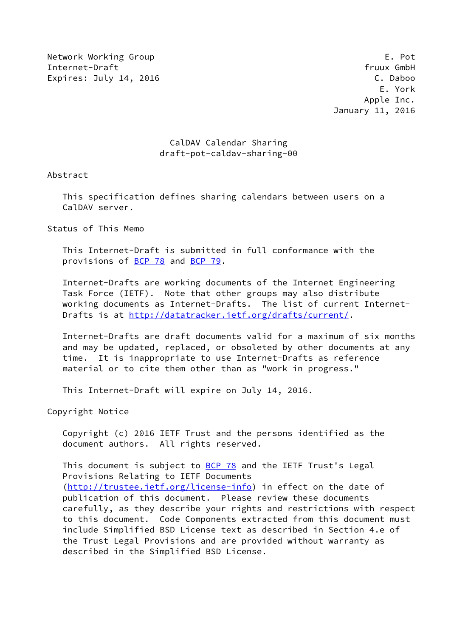Network Working Group E. Pot Internet-Draft fruux GmbH Expires: July 14, 2016 **C. Daboo** 

 E. York Apple Inc. January 11, 2016

## CalDAV Calendar Sharing draft-pot-caldav-sharing-00

Abstract

 This specification defines sharing calendars between users on a CalDAV server.

Status of This Memo

 This Internet-Draft is submitted in full conformance with the provisions of [BCP 78](https://datatracker.ietf.org/doc/pdf/bcp78) and [BCP 79](https://datatracker.ietf.org/doc/pdf/bcp79).

 Internet-Drafts are working documents of the Internet Engineering Task Force (IETF). Note that other groups may also distribute working documents as Internet-Drafts. The list of current Internet Drafts is at<http://datatracker.ietf.org/drafts/current/>.

 Internet-Drafts are draft documents valid for a maximum of six months and may be updated, replaced, or obsoleted by other documents at any time. It is inappropriate to use Internet-Drafts as reference material or to cite them other than as "work in progress."

This Internet-Draft will expire on July 14, 2016.

Copyright Notice

 Copyright (c) 2016 IETF Trust and the persons identified as the document authors. All rights reserved.

This document is subject to [BCP 78](https://datatracker.ietf.org/doc/pdf/bcp78) and the IETF Trust's Legal Provisions Relating to IETF Documents [\(http://trustee.ietf.org/license-info](http://trustee.ietf.org/license-info)) in effect on the date of publication of this document. Please review these documents carefully, as they describe your rights and restrictions with respect to this document. Code Components extracted from this document must include Simplified BSD License text as described in Section 4.e of the Trust Legal Provisions and are provided without warranty as described in the Simplified BSD License.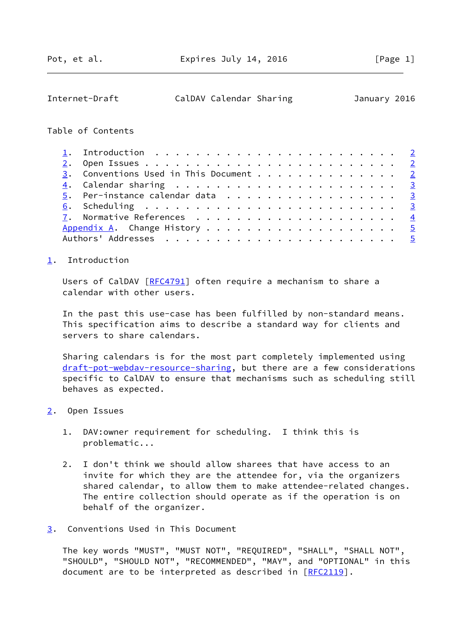<span id="page-1-1"></span>

| Internet-Draft | CalDAV Calendar Sharing | January 2016 |  |
|----------------|-------------------------|--------------|--|
|                |                         |              |  |

## Table of Contents

| 3. Conventions Used in This Document 2 |
|----------------------------------------|
|                                        |
| 5. Per-instance calendar data 3        |
|                                        |
|                                        |
|                                        |
|                                        |

## <span id="page-1-0"></span>[1](#page-1-0). Introduction

Users of CalDAV [\[RFC4791](https://datatracker.ietf.org/doc/pdf/rfc4791)] often require a mechanism to share a calendar with other users.

 In the past this use-case has been fulfilled by non-standard means. This specification aims to describe a standard way for clients and servers to share calendars.

 Sharing calendars is for the most part completely implemented using [draft-pot-webdav-resource-sharing](https://datatracker.ietf.org/doc/pdf/draft-pot-webdav-resource-sharing), but there are a few considerations specific to CalDAV to ensure that mechanisms such as scheduling still behaves as expected.

- <span id="page-1-2"></span>[2](#page-1-2). Open Issues
	- 1. DAV:owner requirement for scheduling. I think this is problematic...
	- 2. I don't think we should allow sharees that have access to an invite for which they are the attendee for, via the organizers shared calendar, to allow them to make attendee-related changes. The entire collection should operate as if the operation is on behalf of the organizer.

<span id="page-1-3"></span>[3](#page-1-3). Conventions Used in This Document

 The key words "MUST", "MUST NOT", "REQUIRED", "SHALL", "SHALL NOT", "SHOULD", "SHOULD NOT", "RECOMMENDED", "MAY", and "OPTIONAL" in this document are to be interpreted as described in [\[RFC2119](https://datatracker.ietf.org/doc/pdf/rfc2119)].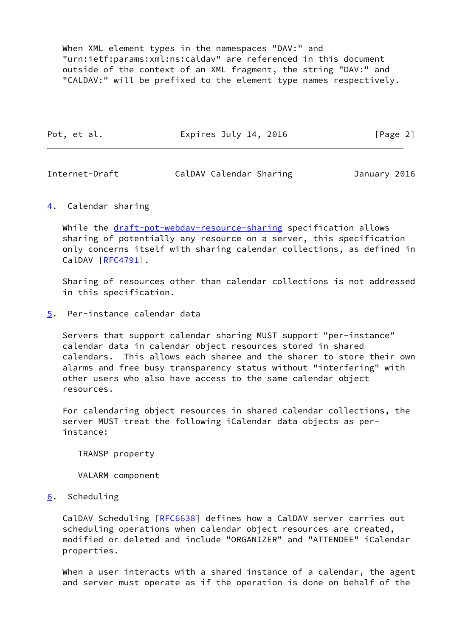When XML element types in the namespaces "DAV:" and "urn:ietf:params:xml:ns:caldav" are referenced in this document outside of the context of an XML fragment, the string "DAV:" and "CALDAV:" will be prefixed to the element type names respectively.

| Pot, et al. | Expires July 14, 2016 | [Page 2] |
|-------------|-----------------------|----------|
|             |                       |          |

<span id="page-2-1"></span>

| Internet-Draft |  | CalDAV Calendar Sharing |  | January 2016 |  |
|----------------|--|-------------------------|--|--------------|--|
|----------------|--|-------------------------|--|--------------|--|

<span id="page-2-0"></span>[4](#page-2-0). Calendar sharing

While the [draft-pot-webdav-resource-sharing](https://datatracker.ietf.org/doc/pdf/draft-pot-webdav-resource-sharing) specification allows sharing of potentially any resource on a server, this specification only concerns itself with sharing calendar collections, as defined in CalDAV [\[RFC4791](https://datatracker.ietf.org/doc/pdf/rfc4791)].

 Sharing of resources other than calendar collections is not addressed in this specification.

<span id="page-2-2"></span>[5](#page-2-2). Per-instance calendar data

 Servers that support calendar sharing MUST support "per-instance" calendar data in calendar object resources stored in shared calendars. This allows each sharee and the sharer to store their own alarms and free busy transparency status without "interfering" with other users who also have access to the same calendar object resources.

 For calendaring object resources in shared calendar collections, the server MUST treat the following iCalendar data objects as per instance:

TRANSP property

VALARM component

<span id="page-2-3"></span>[6](#page-2-3). Scheduling

CalDAV Scheduling [[RFC6638](https://datatracker.ietf.org/doc/pdf/rfc6638)] defines how a CalDAV server carries out scheduling operations when calendar object resources are created, modified or deleted and include "ORGANIZER" and "ATTENDEE" iCalendar properties.

 When a user interacts with a shared instance of a calendar, the agent and server must operate as if the operation is done on behalf of the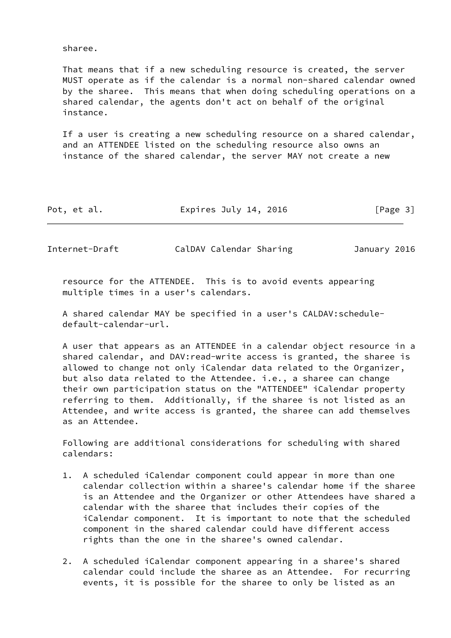sharee.

 That means that if a new scheduling resource is created, the server MUST operate as if the calendar is a normal non-shared calendar owned by the sharee. This means that when doing scheduling operations on a shared calendar, the agents don't act on behalf of the original instance.

 If a user is creating a new scheduling resource on a shared calendar, and an ATTENDEE listed on the scheduling resource also owns an instance of the shared calendar, the server MAY not create a new

| Pot, et al. | Expires July 14, 2016 | [Page 3] |
|-------------|-----------------------|----------|
|-------------|-----------------------|----------|

<span id="page-3-0"></span>Internet-Draft CalDAV Calendar Sharing January 2016

 resource for the ATTENDEE. This is to avoid events appearing multiple times in a user's calendars.

 A shared calendar MAY be specified in a user's CALDAV:schedule default-calendar-url.

 A user that appears as an ATTENDEE in a calendar object resource in a shared calendar, and DAV:read-write access is granted, the sharee is allowed to change not only iCalendar data related to the Organizer, but also data related to the Attendee. i.e., a sharee can change their own participation status on the "ATTENDEE" iCalendar property referring to them. Additionally, if the sharee is not listed as an Attendee, and write access is granted, the sharee can add themselves as an Attendee.

 Following are additional considerations for scheduling with shared calendars:

- 1. A scheduled iCalendar component could appear in more than one calendar collection within a sharee's calendar home if the sharee is an Attendee and the Organizer or other Attendees have shared a calendar with the sharee that includes their copies of the iCalendar component. It is important to note that the scheduled component in the shared calendar could have different access rights than the one in the sharee's owned calendar.
- 2. A scheduled iCalendar component appearing in a sharee's shared calendar could include the sharee as an Attendee. For recurring events, it is possible for the sharee to only be listed as an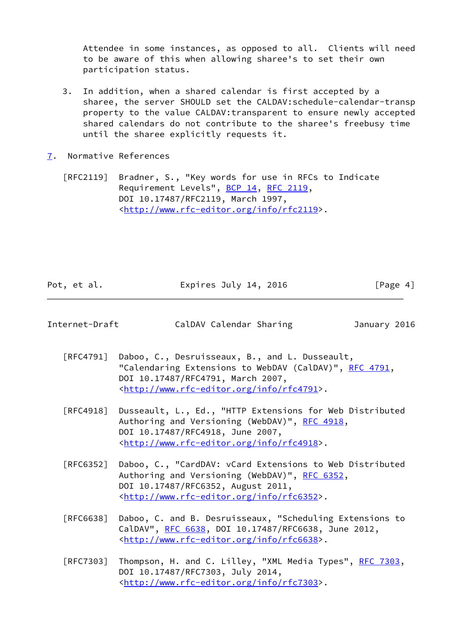Attendee in some instances, as opposed to all. Clients will need to be aware of this when allowing sharee's to set their own participation status.

- 3. In addition, when a shared calendar is first accepted by a sharee, the server SHOULD set the CALDAV:schedule-calendar-transp property to the value CALDAV:transparent to ensure newly accepted shared calendars do not contribute to the sharee's freebusy time until the sharee explicitly requests it.
- <span id="page-4-0"></span>[7](#page-4-0). Normative References

 [RFC2119] Bradner, S., "Key words for use in RFCs to Indicate Requirement Levels", [BCP 14](https://datatracker.ietf.org/doc/pdf/bcp14), [RFC 2119](https://datatracker.ietf.org/doc/pdf/rfc2119), DOI 10.17487/RFC2119, March 1997, <<http://www.rfc-editor.org/info/rfc2119>>.

| Pot, et al. | Expires July 14, 2016 | [Page 4] |
|-------------|-----------------------|----------|
|             |                       |          |

<span id="page-4-1"></span>

| Internet-Draft | CalDAV Calendar Sharing | January 2016 |  |
|----------------|-------------------------|--------------|--|
|                |                         |              |  |

- [RFC4791] Daboo, C., Desruisseaux, B., and L. Dusseault, "Calendaring Extensions to WebDAV (CalDAV)", [RFC 4791](https://datatracker.ietf.org/doc/pdf/rfc4791), DOI 10.17487/RFC4791, March 2007, <<http://www.rfc-editor.org/info/rfc4791>>.
- [RFC4918] Dusseault, L., Ed., "HTTP Extensions for Web Distributed Authoring and Versioning (WebDAV)", [RFC 4918,](https://datatracker.ietf.org/doc/pdf/rfc4918) DOI 10.17487/RFC4918, June 2007, <<http://www.rfc-editor.org/info/rfc4918>>.
- [RFC6352] Daboo, C., "CardDAV: vCard Extensions to Web Distributed Authoring and Versioning (WebDAV)", [RFC 6352,](https://datatracker.ietf.org/doc/pdf/rfc6352) DOI 10.17487/RFC6352, August 2011, <<http://www.rfc-editor.org/info/rfc6352>>.
- [RFC6638] Daboo, C. and B. Desruisseaux, "Scheduling Extensions to CalDAV", [RFC 6638,](https://datatracker.ietf.org/doc/pdf/rfc6638) DOI 10.17487/RFC6638, June 2012, <<http://www.rfc-editor.org/info/rfc6638>>.
- [RFC7303] Thompson, H. and C. Lilley, "XML Media Types", [RFC 7303](https://datatracker.ietf.org/doc/pdf/rfc7303), DOI 10.17487/RFC7303, July 2014, <<http://www.rfc-editor.org/info/rfc7303>>.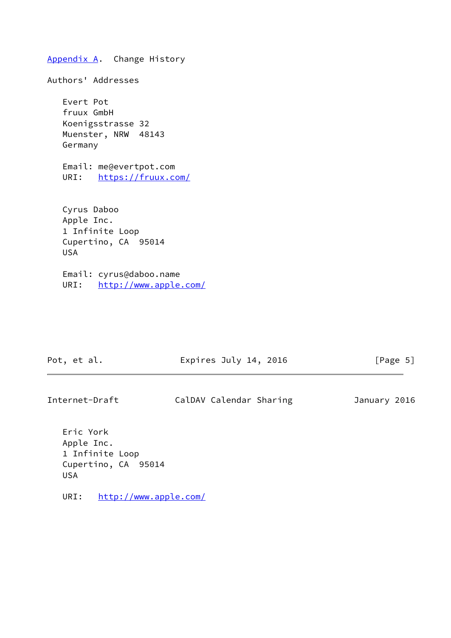<span id="page-5-0"></span>[Appendix A.](#page-5-0) Change History Authors' Addresses Evert Pot fruux GmbH Koenigsstrasse 32 Muenster, NRW 48143 Germany Email: me@evertpot.com URI: <https://fruux.com/> Cyrus Daboo Apple Inc. 1 Infinite Loop Cupertino, CA 95014 USA

 Email: cyrus@daboo.name URI: <http://www.apple.com/>

Pot, et al. **Expires July 14, 2016** [Page 5]

Internet-Draft CalDAV Calendar Sharing January 2016

 Eric York Apple Inc. 1 Infinite Loop Cupertino, CA 95014 USA

URI: <http://www.apple.com/>